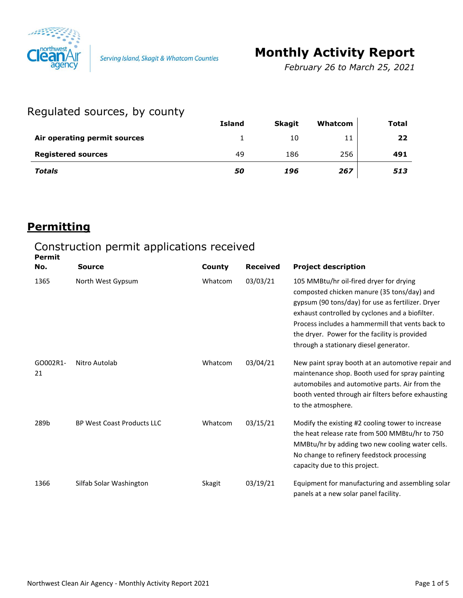

Serving Island, Skagit & Whatcom Counties

# **Monthly Activity Report**

*February 26 to March 25, 2021*

### Regulated sources, by county

|                              | <b>Island</b> | <b>Skagit</b> | Whatcom | <b>Total</b> |
|------------------------------|---------------|---------------|---------|--------------|
| Air operating permit sources |               | 10            | 11      | 22           |
| <b>Registered sources</b>    | 49            | 186           | 256     | 491          |
| <b>Totals</b>                | 50            | 196           | 267     | 513          |

#### **Permitting**

#### Construction permit applications received **Permit**

| No.            | Source                            | County  | <b>Received</b> | <b>Project description</b>                                                                                                                                                                                                                                                                                                                   |
|----------------|-----------------------------------|---------|-----------------|----------------------------------------------------------------------------------------------------------------------------------------------------------------------------------------------------------------------------------------------------------------------------------------------------------------------------------------------|
| 1365           | North West Gypsum                 | Whatcom | 03/03/21        | 105 MMBtu/hr oil-fired dryer for drying<br>composted chicken manure (35 tons/day) and<br>gypsum (90 tons/day) for use as fertilizer. Dryer<br>exhaust controlled by cyclones and a biofilter.<br>Process includes a hammermill that vents back to<br>the dryer. Power for the facility is provided<br>through a stationary diesel generator. |
| GO002R1-<br>21 | Nitro Autolab                     | Whatcom | 03/04/21        | New paint spray booth at an automotive repair and<br>maintenance shop. Booth used for spray painting<br>automobiles and automotive parts. Air from the<br>booth vented through air filters before exhausting<br>to the atmosphere.                                                                                                           |
| 289b           | <b>BP West Coast Products LLC</b> | Whatcom | 03/15/21        | Modify the existing #2 cooling tower to increase<br>the heat release rate from 500 MMBtu/hr to 750<br>MMBtu/hr by adding two new cooling water cells.<br>No change to refinery feedstock processing<br>capacity due to this project.                                                                                                         |
| 1366           | Silfab Solar Washington           | Skagit  | 03/19/21        | Equipment for manufacturing and assembling solar<br>panels at a new solar panel facility.                                                                                                                                                                                                                                                    |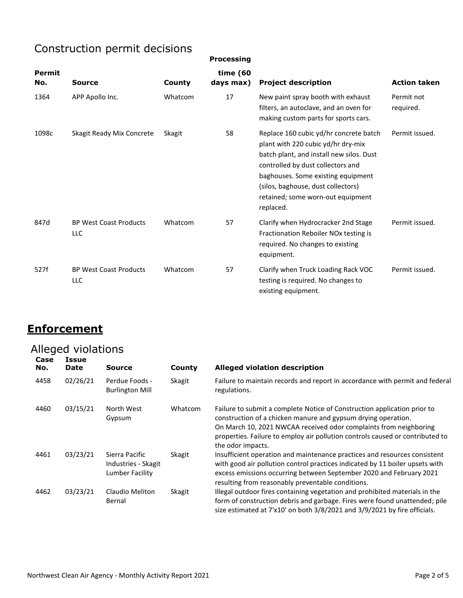# Construction permit decisions

| <b>Processing</b> |  |
|-------------------|--|

| <b>Permit</b><br>No. | Source                               | County  | time (60<br>days max) | <b>Project description</b>                                                                                                                                                                                                                                                                  | <b>Action taken</b>     |
|----------------------|--------------------------------------|---------|-----------------------|---------------------------------------------------------------------------------------------------------------------------------------------------------------------------------------------------------------------------------------------------------------------------------------------|-------------------------|
| 1364                 | APP Apollo Inc.                      | Whatcom | 17                    | New paint spray booth with exhaust<br>filters, an autoclave, and an oven for<br>making custom parts for sports cars.                                                                                                                                                                        | Permit not<br>required. |
| 1098c                | Skagit Ready Mix Concrete            | Skagit  | 58                    | Replace 160 cubic yd/hr concrete batch<br>plant with 220 cubic yd/hr dry-mix<br>batch plant, and install new silos. Dust<br>controlled by dust collectors and<br>baghouses. Some existing equipment<br>(silos, baghouse, dust collectors)<br>retained; some worn-out equipment<br>replaced. | Permit issued.          |
| 847d                 | <b>BP West Coast Products</b><br>LLC | Whatcom | 57                    | Clarify when Hydrocracker 2nd Stage<br>Fractionation Reboiler NOx testing is<br>required. No changes to existing<br>equipment.                                                                                                                                                              | Permit issued.          |
| 527f                 | <b>BP West Coast Products</b><br>LLC | Whatcom | 57                    | Clarify when Truck Loading Rack VOC<br>testing is required. No changes to<br>existing equipment.                                                                                                                                                                                            | Permit issued.          |

#### **Enforcement**

# Alleged violations

| Case<br>No. | Issue<br><b>Date</b> | <b>Source</b>                                            | County  | <b>Alleged violation description</b>                                                                                                                                                                                                                                                                                 |
|-------------|----------------------|----------------------------------------------------------|---------|----------------------------------------------------------------------------------------------------------------------------------------------------------------------------------------------------------------------------------------------------------------------------------------------------------------------|
| 4458        | 02/26/21             | Perdue Foods -<br><b>Burlington Mill</b>                 | Skagit  | Failure to maintain records and report in accordance with permit and federal<br>regulations.                                                                                                                                                                                                                         |
| 4460        | 03/15/21             | North West<br>Gypsum                                     | Whatcom | Failure to submit a complete Notice of Construction application prior to<br>construction of a chicken manure and gypsum drying operation.<br>On March 10, 2021 NWCAA received odor complaints from neighboring<br>properties. Failure to employ air pollution controls caused or contributed to<br>the odor impacts. |
| 4461        | 03/23/21             | Sierra Pacific<br>Industries - Skagit<br>Lumber Facility | Skagit  | Insufficient operation and maintenance practices and resources consistent<br>with good air pollution control practices indicated by 11 boiler upsets with<br>excess emissions occurring between September 2020 and February 2021<br>resulting from reasonably preventable conditions.                                |
| 4462        | 03/23/21             | Claudio Meliton<br>Bernal                                | Skagit  | Illegal outdoor fires containing vegetation and prohibited materials in the<br>form of construction debris and garbage. Fires were found unattended; pile<br>size estimated at 7'x10' on both 3/8/2021 and 3/9/2021 by fire officials.                                                                               |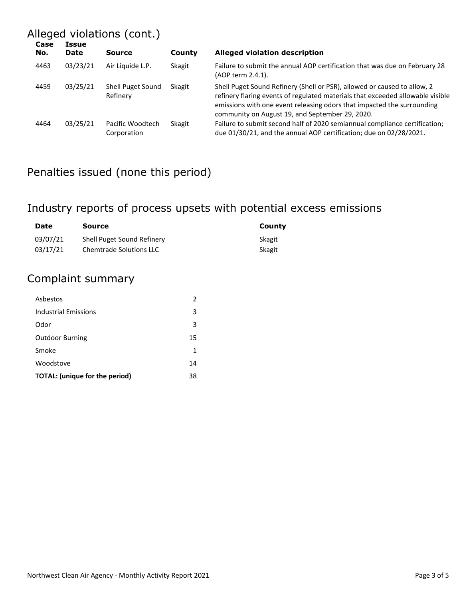# Alleged violations (cont.)

| Case<br>No. | Issue<br><b>Date</b> | <b>Source</b>                   | County | <b>Alleged violation description</b>                                                                                                                                                                                                                                                    |
|-------------|----------------------|---------------------------------|--------|-----------------------------------------------------------------------------------------------------------------------------------------------------------------------------------------------------------------------------------------------------------------------------------------|
| 4463        | 03/23/21             | Air Liquide L.P.                | Skagit | Failure to submit the annual AOP certification that was due on February 28<br>(AOP term 2.4.1).                                                                                                                                                                                         |
| 4459        | 03/25/21             | Shell Puget Sound<br>Refinery   | Skagit | Shell Puget Sound Refinery (Shell or PSR), allowed or caused to allow, 2<br>refinery flaring events of regulated materials that exceeded allowable visible<br>emissions with one event releasing odors that impacted the surrounding<br>community on August 19, and September 29, 2020. |
| 4464        | 03/25/21             | Pacific Woodtech<br>Corporation | Skagit | Failure to submit second half of 2020 semiannual compliance certification;<br>due 01/30/21, and the annual AOP certification; due on 02/28/2021.                                                                                                                                        |

# Penalties issued (none this period)

# Industry reports of process upsets with potential excess emissions

| Date     | Source                         | County |
|----------|--------------------------------|--------|
| 03/07/21 | Shell Puget Sound Refinery     | Skagit |
| 03/17/21 | <b>Chemtrade Solutions LLC</b> | Skagit |

#### Complaint summary

| Asbestos                              |    |
|---------------------------------------|----|
| Industrial Emissions                  | 3  |
| Odor                                  | 3  |
| <b>Outdoor Burning</b>                | 15 |
| Smoke                                 | 1  |
| Woodstove                             | 14 |
| <b>TOTAL:</b> (unique for the period) | 38 |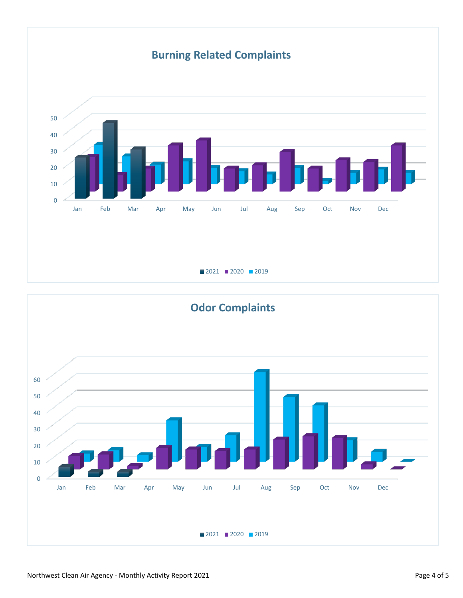# **Burning Related Complaints**